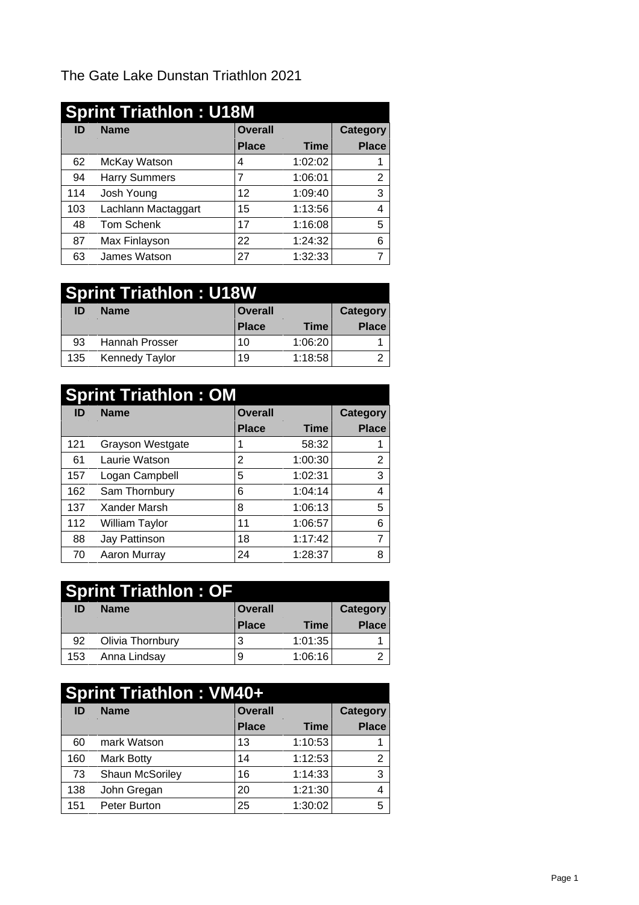The Gate Lake Dunstan Triathlon 2021

|     | <b>Sprint Triathlon: U18M</b> |                 |         |                 |
|-----|-------------------------------|-----------------|---------|-----------------|
| ID  | <b>Name</b>                   | <b>Overall</b>  |         | <b>Category</b> |
|     |                               | <b>Place</b>    | Time    | <b>Place</b>    |
| 62  | McKay Watson                  | 4               | 1:02:02 |                 |
| 94  | <b>Harry Summers</b>          |                 | 1:06:01 | ົ               |
| 114 | Josh Young                    | 12              | 1:09:40 | 3               |
| 103 | Lachlann Mactaggart           | 15              | 1:13:56 | 4               |
| 48  | Tom Schenk                    | $\overline{17}$ | 1:16:08 | 5               |
| 87  | Max Finlayson                 | 22              | 1:24:32 | 6               |
| 63  | James Watson                  | 27              | 1:32:33 | ⇁               |

## **Sprint Triathlon : U18W**

| ID  | <b>Name</b>           | <b>Overall</b> |             | Category     |
|-----|-----------------------|----------------|-------------|--------------|
|     |                       | <b>Place</b>   | <b>Time</b> | <b>Place</b> |
| 93  | Hannah Prosser        | 10             | 1:06:20     |              |
| 135 | <b>Kennedy Taylor</b> | 19             | 1:18:58     | ⌒<br>▃       |

|     | <b>Sprint Triathlon: OM</b> |                |             |                 |
|-----|-----------------------------|----------------|-------------|-----------------|
| ID  | <b>Name</b>                 | <b>Overall</b> |             | <b>Category</b> |
|     |                             | <b>Place</b>   | <b>Time</b> | <b>Place</b>    |
| 121 | <b>Grayson Westgate</b>     |                | 58:32       |                 |
| 61  | Laurie Watson               | 2              | 1:00:30     | 2               |
| 157 | Logan Campbell              | 5              | 1:02:31     | 3               |
| 162 | Sam Thornbury               | 6              | 1:04:14     | 4               |
| 137 | Xander Marsh                | 8              | 1:06:13     | 5               |
| 112 | William Taylor              | 11             | 1:06:57     | 6               |
| 88  | Jay Pattinson               | 18             | 1:17:42     |                 |
| 70  | Aaron Murray                | 24             | 1:28:37     | 8               |

|     | <b>Sprint Triathlon: OF</b> |                |             |              |
|-----|-----------------------------|----------------|-------------|--------------|
| ID  | <b>Name</b>                 | <b>Overall</b> |             | Category     |
|     |                             | <b>Place</b>   | <b>Time</b> | <b>Place</b> |
| 92  | Olivia Thornbury            | Ő.             | 1:01:35     |              |
| 153 | Anna Lindsay                |                | 1:06:16     |              |

|     | <b>Sprint Triathlon: VM40+</b> |                |         |              |
|-----|--------------------------------|----------------|---------|--------------|
| ID  | <b>Name</b>                    | <b>Overall</b> |         | Category     |
|     |                                | <b>Place</b>   | Time⊺   | <b>Place</b> |
| 60  | mark Watson                    | 13             | 1:10:53 |              |
| 160 | Mark Botty                     | 14             | 1:12:53 | 2            |
| 73  | Shaun McSoriley                | 16             | 1:14:33 | 3            |
| 138 | John Gregan                    | 20             | 1:21:30 | 4            |
| 151 | Peter Burton                   | 25             | 1:30:02 | 5            |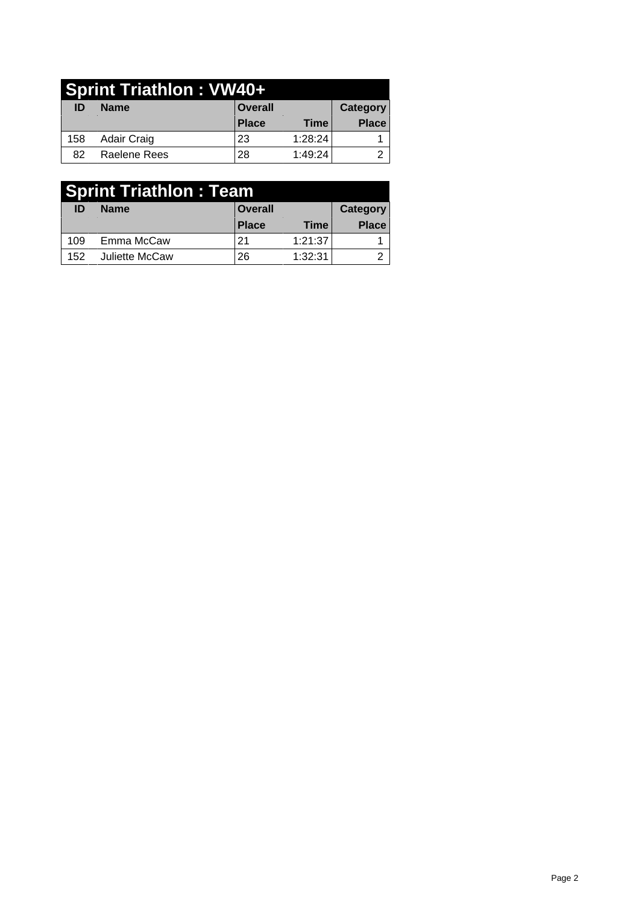|     | <b>Sprint Triathlon: VW40+</b> |                |         |              |
|-----|--------------------------------|----------------|---------|--------------|
| ID  | <b>Name</b>                    | <b>Overall</b> |         | Category     |
|     |                                | <b>Place</b>   | Time⊺   | <b>Place</b> |
| 158 | Adair Craig                    | 23             | 1:28:24 |              |
| 82  | Raelene Rees                   | 28             | 1:49:24 |              |

| <b>Sprint Triathlon: Team</b> |                |                |             |              |
|-------------------------------|----------------|----------------|-------------|--------------|
| ID                            | <b>Name</b>    | <b>Overall</b> |             | Category     |
|                               |                | Place          | <b>Time</b> | <b>Place</b> |
| 109                           | Emma McCaw     | 21             | 1:21:37     |              |
| 152                           | Juliette McCaw | 26             | 1:32:31     |              |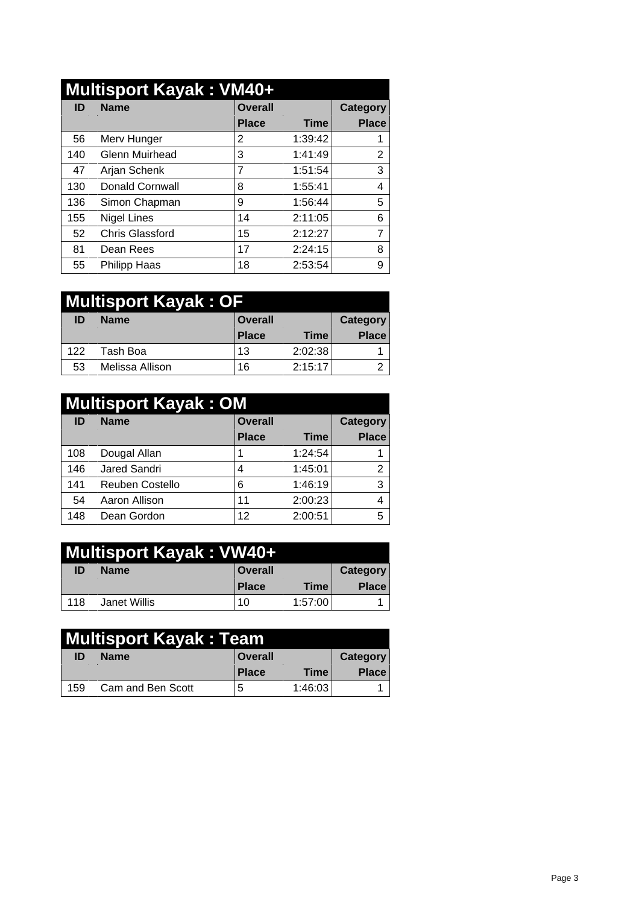|     | <b>Multisport Kayak: VM40+</b> |                |             |                |
|-----|--------------------------------|----------------|-------------|----------------|
| ID  | <b>Name</b>                    | <b>Overall</b> |             | Category       |
|     |                                | <b>Place</b>   | <b>Time</b> | <b>Place</b>   |
| 56  | Merv Hunger                    | 2              | 1:39:42     |                |
| 140 | <b>Glenn Muirhead</b>          | 3              | 1:41:49     | 2              |
| 47  | Arjan Schenk                   | 7              | 1:51:54     | 3              |
| 130 | Donald Cornwall                | 8              | 1:55:41     | 4              |
| 136 | Simon Chapman                  | 9              | 1:56:44     | 5              |
| 155 | <b>Nigel Lines</b>             | 14             | 2:11:05     | 6              |
| 52  | <b>Chris Glassford</b>         | 15             | 2:12:27     | $\overline{ }$ |
| 81  | Dean Rees                      | 17             | 2:24:15     | 8              |
| 55  | Philipp Haas                   | 18             | 2:53:54     | 9              |

|     | Multisport Kayak : OF |                |             |              |
|-----|-----------------------|----------------|-------------|--------------|
| ID  | <b>Name</b>           | <b>Overall</b> |             | Category     |
|     |                       | <b>Place</b>   | <b>Time</b> | <b>Place</b> |
| 122 | Tash Boa              | 13             | 2:02:38     |              |
| 53  | Melissa Allison       | 16             | 2:15:17     | ◠            |

|     | <b>Multisport Kayak: OM</b> |                |             |              |
|-----|-----------------------------|----------------|-------------|--------------|
| ID  | <b>Name</b>                 | <b>Overall</b> |             | Category     |
|     |                             | <b>Place</b>   | <b>Time</b> | <b>Place</b> |
| 108 | Dougal Allan                |                | 1:24:54     |              |
| 146 | Jared Sandri                | 4              | 1:45:01     |              |
| 141 | Reuben Costello             | 6              | 1:46:19     | 3            |
| 54  | Aaron Allison               | 11             | 2:00:23     | 4            |
| 148 | Dean Gordon                 | 12             | 2:00:51     | 5            |

|     | Multisport Kayak : VW40+ |              |             |              |
|-----|--------------------------|--------------|-------------|--------------|
| ID  | <b>Name</b>              | Overall      |             | Category     |
|     |                          | <b>Place</b> | <b>Time</b> | <b>Place</b> |
| 118 | Janet Willis             | 10           | 1:57:00     |              |

|     | Multisport Kayak: Team |                |             |              |
|-----|------------------------|----------------|-------------|--------------|
| ID  | <b>Name</b>            | <b>Overall</b> |             | Category     |
|     |                        | Place          | <b>Time</b> | <b>Place</b> |
| 159 | Cam and Ben Scott      | J              | 1:46:03     |              |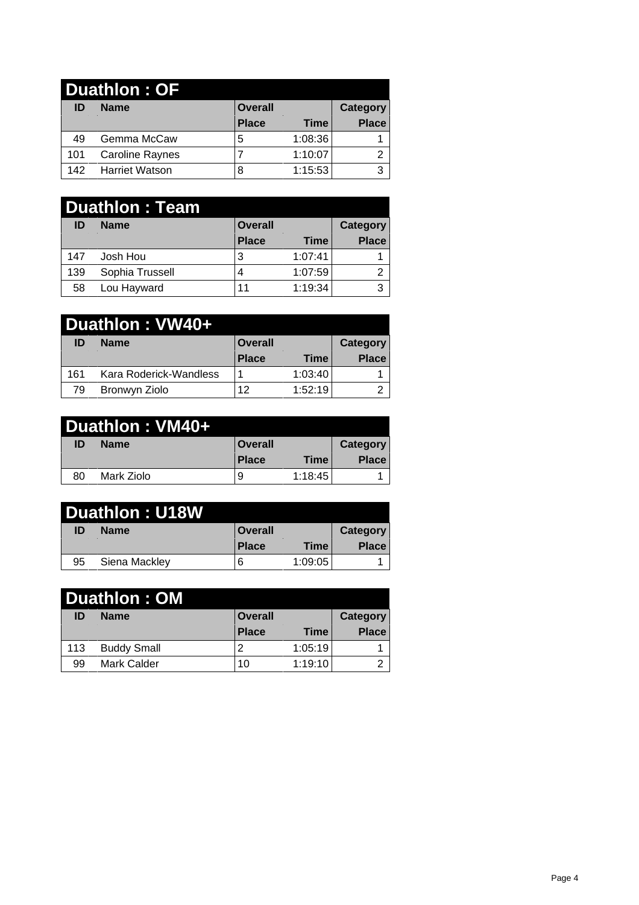| <b>Duathlon: OF</b> |                        |                |         |              |  |  |  |
|---------------------|------------------------|----------------|---------|--------------|--|--|--|
| ID                  | <b>Name</b>            | <b>Overall</b> |         |              |  |  |  |
|                     |                        | <b>Place</b>   | Time    | <b>Place</b> |  |  |  |
| 49                  | Gemma McCaw            | b              | 1:08:36 |              |  |  |  |
| 101                 | <b>Caroline Raynes</b> |                | 1:10:07 | ⌒            |  |  |  |
| 142                 | <b>Harriet Watson</b>  |                | 1:15:53 | ◠            |  |  |  |

| <b>Duathlon: Team</b> |                 |                |             |       |  |
|-----------------------|-----------------|----------------|-------------|-------|--|
| ID                    | <b>Name</b>     | <b>Overall</b> |             |       |  |
|                       |                 | <b>Place</b>   | <b>Time</b> | Place |  |
| 147                   | Josh Hou        | 3              | 1:07:41     |       |  |
| 139                   | Sophia Trussell | 4              | 1:07:59     | ົ     |  |
| 58                    | Lou Hayward     | 11             | 1:19:34     | 3     |  |

| Duathlon: VW40+ |  |                        |                |             |              |  |  |
|-----------------|--|------------------------|----------------|-------------|--------------|--|--|
| ID              |  | <b>Name</b>            | <b>Overall</b> | Category    |              |  |  |
|                 |  |                        | <b>Place</b>   | <b>Time</b> | <b>Place</b> |  |  |
| 161             |  | Kara Roderick-Wandless |                | 1:03:40     |              |  |  |
| 79              |  | Bronwyn Ziolo          | 12             | 1:52:19     | ◠            |  |  |

| Duathlon: VM40+ |  |             |                |         |              |  |  |
|-----------------|--|-------------|----------------|---------|--------------|--|--|
| ID              |  | <b>Name</b> | <b>Overall</b> |         | Category     |  |  |
|                 |  |             | <b>Place</b>   | Time⊤   | <b>Place</b> |  |  |
| 80              |  | Mark Ziolo  |                | 1:18:45 |              |  |  |

|    | <b>Duathlon: U18W</b> |                |             |                 |
|----|-----------------------|----------------|-------------|-----------------|
| ID | <b>Name</b>           | <b>Overall</b> |             | <b>Category</b> |
|    |                       | <b>Place</b>   | <b>Time</b> | <b>Place</b>    |
| 95 | Siena Mackley         | b              | 1:09:05     |                 |

| <b>Duathlon: OM</b> |                    |                |         |              |  |  |
|---------------------|--------------------|----------------|---------|--------------|--|--|
| ID                  | <b>Name</b>        | <b>Overall</b> |         |              |  |  |
|                     |                    | <b>Place</b>   | Time    | <b>Place</b> |  |  |
| 113                 | <b>Buddy Small</b> |                | 1:05:19 |              |  |  |
| 99                  | <b>Mark Calder</b> | 10             | 1:19:10 | ⌒            |  |  |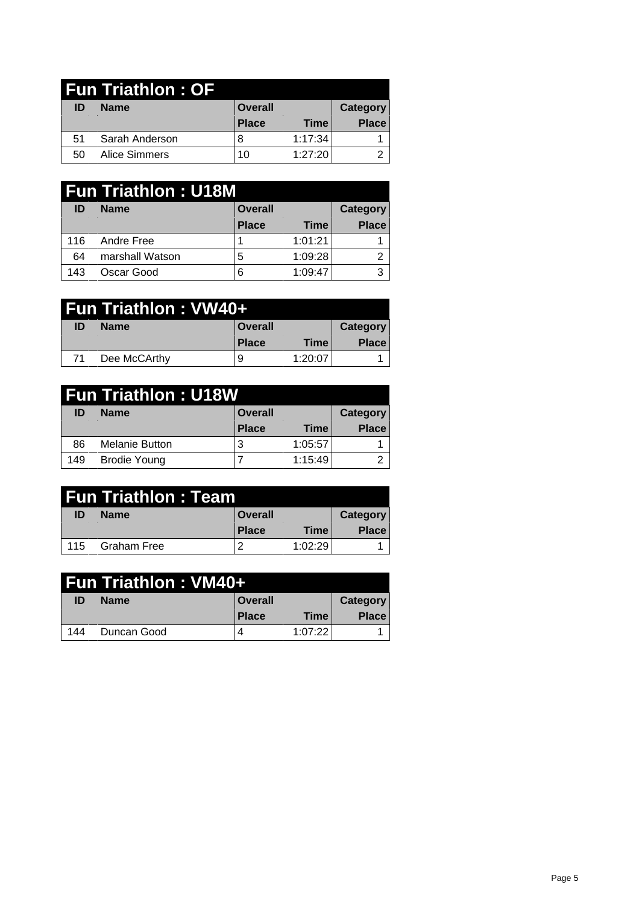| <b>Fun Triathlon: OF</b> |                |                |             |              |  |  |  |
|--------------------------|----------------|----------------|-------------|--------------|--|--|--|
| ID                       | <b>Name</b>    | <b>Overall</b> |             |              |  |  |  |
|                          |                | <b>Place</b>   | <b>Time</b> | <b>Place</b> |  |  |  |
| 51                       | Sarah Anderson |                | 1:17:34     |              |  |  |  |
| 50                       | Alice Simmers  | 10             | 1:27:20     | ⌒            |  |  |  |

| <b>Fun Triathlon: U18M</b> |                 |                            |             |              |  |
|----------------------------|-----------------|----------------------------|-------------|--------------|--|
| ID                         | <b>Name</b>     | <b>Overall</b><br>Category |             |              |  |
|                            |                 | <b>Place</b>               | <b>Time</b> | <b>Place</b> |  |
| 116                        | Andre Free      |                            | 1:01:21     |              |  |
| 64                         | marshall Watson | đ                          | 1:09:28     |              |  |
| 143                        | Oscar Good      | 6                          | 1:09:47     | ົ            |  |

| <b>Fun Triathlon : VW40+</b> |              |                |         |              |  |  |  |
|------------------------------|--------------|----------------|---------|--------------|--|--|--|
| ID                           | <b>Name</b>  | <b>Overall</b> |         | Category     |  |  |  |
|                              |              | <b>Place</b>   | Time    | <b>Place</b> |  |  |  |
| 71                           | Dee McCArthy | 9              | 1:20:07 |              |  |  |  |

| <b>Fun Triathlon: U18W</b> |                |                |             |               |
|----------------------------|----------------|----------------|-------------|---------------|
| ID                         | <b>Name</b>    | <b>Overall</b> |             | Category      |
|                            |                | <b>Place</b>   | <b>Time</b> | <b>Place</b>  |
| 86                         | Melanie Button |                | 1:05:57     |               |
| 149                        | Brodie Young   |                | 1:15:49     | ◠<br><u>_</u> |

| Fun Triathlon : Team |                    |              |             |                 |
|----------------------|--------------------|--------------|-------------|-----------------|
| ID                   | <b>Name</b>        | ∣ Overall    |             | <b>Category</b> |
|                      |                    | <b>Place</b> | <b>Time</b> | <b>Place</b>    |
| 115                  | <b>Graham Free</b> | -            | 1:02:29     |                 |

| Fun Triathlon : VM40+ |             |                |             |              |  |  |  |
|-----------------------|-------------|----------------|-------------|--------------|--|--|--|
| ID                    | <b>Name</b> | <b>Overall</b> |             | Category     |  |  |  |
|                       |             | <b>Place</b>   | <b>Time</b> | <b>Place</b> |  |  |  |
| 144                   | Duncan Good |                | 1:07:221    |              |  |  |  |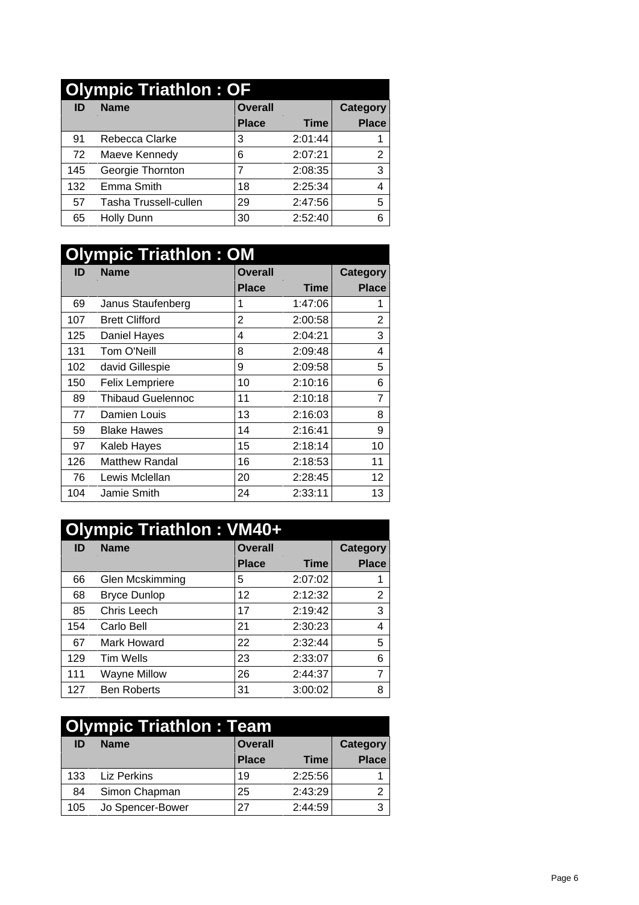|     | <b>Olympic Triathlon: OF</b> |                |         |                 |
|-----|------------------------------|----------------|---------|-----------------|
| ID  | <b>Name</b>                  | <b>Overall</b> |         | <b>Category</b> |
|     |                              | <b>Place</b>   | Time    | <b>Place</b>    |
| 91  | Rebecca Clarke               | 3              | 2:01:44 |                 |
| 72  | Maeve Kennedy                | 6              | 2:07:21 | 2               |
| 145 | Georgie Thornton             | ⇁              | 2:08:35 | 3               |
| 132 | Emma Smith                   | 18             | 2:25:34 | 4               |
| 57  | Tasha Trussell-cullen        | 29             | 2:47:56 | 5               |
| 65  | Holly Dunn                   | 30             | 2:52:40 | 6               |

| <b>Olympic Triathlon: OM</b> |                          |                |             |                 |
|------------------------------|--------------------------|----------------|-------------|-----------------|
| ID                           | <b>Name</b>              | <b>Overall</b> |             |                 |
|                              |                          | <b>Place</b>   | <b>Time</b> | <b>Place</b>    |
| 69                           | Janus Staufenberg        |                | 1:47:06     |                 |
| 107                          | <b>Brett Clifford</b>    | $\overline{2}$ | 2:00:58     | $\overline{2}$  |
| 125                          | Daniel Hayes             | 4              | 2:04:21     | 3               |
| 131                          | Tom O'Neill              | 8              | 2:09:48     | 4               |
| 102                          | david Gillespie          | 9              | 2:09:58     | 5               |
| 150                          | Felix Lempriere          | 10             | 2:10:16     | 6               |
| 89                           | <b>Thibaud Guelennoc</b> | 11             | 2:10:18     | 7               |
| 77                           | Damien Louis             | 13             | 2:16:03     | 8               |
| 59                           | <b>Blake Hawes</b>       | 14             | 2:16:41     | 9               |
| 97                           | Kaleb Hayes              | 15             | 2:18:14     | 10 <sup>°</sup> |
| 126                          | <b>Matthew Randal</b>    | 16             | 2:18:53     | 11              |
| 76                           | Lewis Mclellan           | 20             | 2:28:45     | 12              |
| 104                          | Jamie Smith              | 24             | 2:33:11     | 13              |

| Olympic Triathlon: VM40+ |                     |                |             |              |
|--------------------------|---------------------|----------------|-------------|--------------|
| ID                       | <b>Name</b>         | <b>Overall</b> |             |              |
|                          |                     | <b>Place</b>   | <b>Time</b> | <b>Place</b> |
| 66                       | Glen Mcskimming     | 5              | 2:07:02     |              |
| 68                       | <b>Bryce Dunlop</b> | 12             | 2:12:32     | 2            |
| 85                       | Chris Leech         | 17             | 2:19:42     | 3            |
| 154                      | Carlo Bell          | 21             | 2:30:23     | 4            |
| 67                       | Mark Howard         | 22             | 2:32:44     | 5            |
| 129                      | <b>Tim Wells</b>    | 23             | 2:33:07     | 6            |
| 111                      | Wayne Millow        | 26             | 2:44:37     | ⇁            |
| 127                      | <b>Ben Roberts</b>  | 31             | 3:00:02     | 8            |

| <b>Olympic Triathlon: Team</b> |                               |              |                 |              |
|--------------------------------|-------------------------------|--------------|-----------------|--------------|
| ID                             | <b>Overall</b><br><b>Name</b> |              | <b>Category</b> |              |
|                                |                               | <b>Place</b> | <b>Time</b>     | <b>Place</b> |
| 133                            | Liz Perkins                   | 19           | 2:25:56         |              |
| 84                             | Simon Chapman                 | 25           | 2:43:29         |              |
| 105                            | Jo Spencer-Bower              | 27           | 2:44:59         | ⌒            |